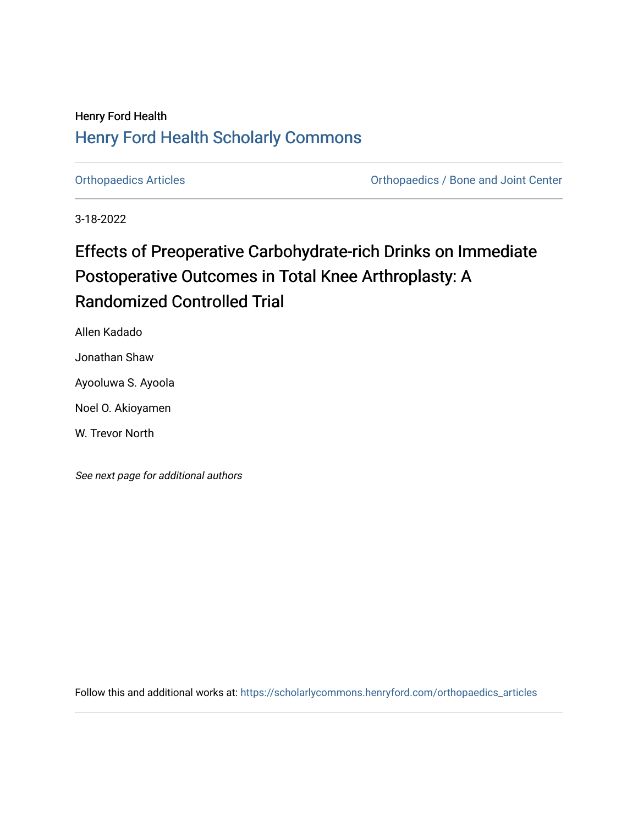### Henry Ford Health [Henry Ford Health Scholarly Commons](https://scholarlycommons.henryford.com/)

[Orthopaedics Articles](https://scholarlycommons.henryford.com/orthopaedics_articles) [Orthopaedics / Bone and Joint Center](https://scholarlycommons.henryford.com/orthopaedics) 

3-18-2022

## Effects of Preoperative Carbohydrate-rich Drinks on Immediate Postoperative Outcomes in Total Knee Arthroplasty: A Randomized Controlled Trial

Allen Kadado

Jonathan Shaw

Ayooluwa S. Ayoola

Noel O. Akioyamen

W. Trevor North

See next page for additional authors

Follow this and additional works at: [https://scholarlycommons.henryford.com/orthopaedics\\_articles](https://scholarlycommons.henryford.com/orthopaedics_articles?utm_source=scholarlycommons.henryford.com%2Forthopaedics_articles%2F396&utm_medium=PDF&utm_campaign=PDFCoverPages)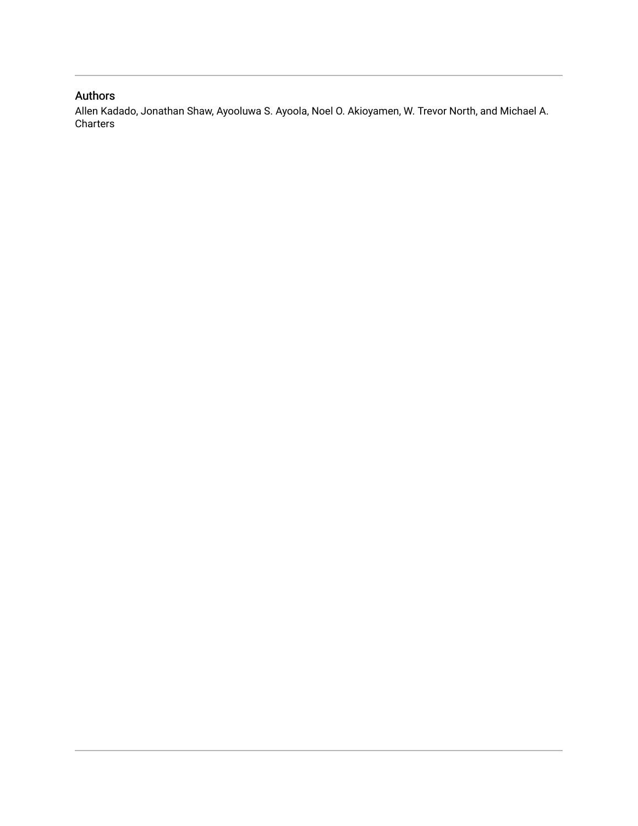### Authors

Allen Kadado, Jonathan Shaw, Ayooluwa S. Ayoola, Noel O. Akioyamen, W. Trevor North, and Michael A. Charters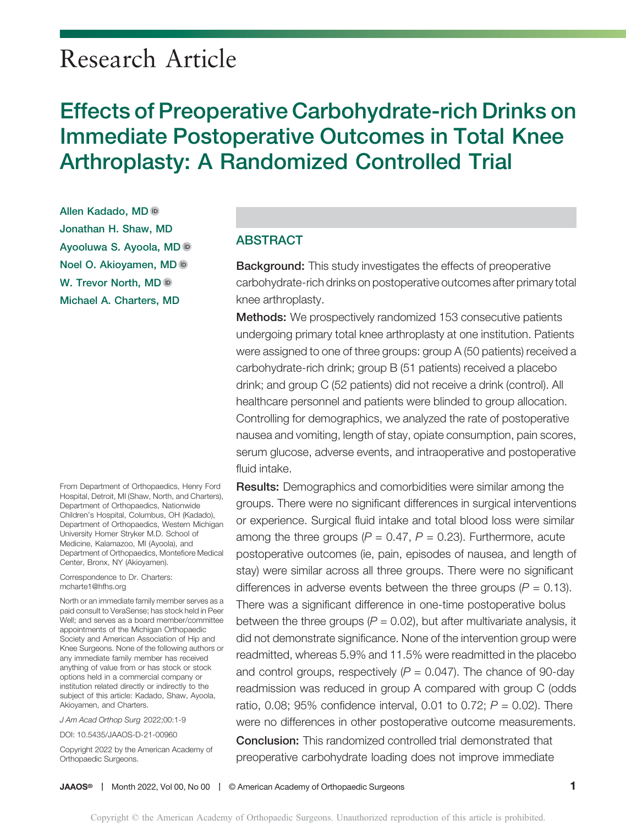# Research Article

# Effects of Preoperative Carbohydrate-rich Drinks on Immediate Postoperative Outcomes in Total Knee Arthroplasty: A Randomized Controlled Trial

Allen Kadado, MD Jonathan H. Shaw, MD Ayooluwa S. Ayoola, M[D](https://orcid.org/0000-0001-5466-6252) Noel O. Akioyamen, MD W. Trevor North, MD in Michael A. Charters, MD

From Department of Orthopaedics, Henry Ford Hospital, Detroit, MI (Shaw, North, and Charters), Department of Orthopaedics, Nationwide Children's Hospital, Columbus, OH (Kadado), Department of Orthopaedics, Western Michigan University Homer Stryker M.D. School of Medicine, Kalamazoo, MI (Ayoola), and Department of Orthopaedics, Montefiore Medical Center, Bronx, NY (Akioyamen).

Correspondence to Dr. Charters: [mcharte1@hfhs.org](mailto:mcharte1@hfhs.org)

North or an immediate family member serves as a paid consult to VeraSense; has stock held in Peer Well; and serves as a board member/committee appointments of the Michigan Orthopaedic Society and American Association of Hip and Knee Surgeons. None of the following authors or any immediate family member has received anything of value from or has stock or stock options held in a commercial company or institution related directly or indirectly to the subject of this article: Kadado, Shaw, Ayoola, Akioyamen, and Charters.

J Am Acad Orthop Surg 2022;00:1-9

DOI: [10.5435/JAAOS-D-21-00960](http://dx.doi.org/10.5435/JAAOS-D-21-00960)

Copyright 2022 by the American Academy of Orthopaedic Surgeons.

#### ABSTRACT

Background: This study investigates the effects of preoperative carbohydrate-rich drinks on postoperative outcomes after primary total knee arthroplasty.

Methods: We prospectively randomized 153 consecutive patients undergoing primary total knee arthroplasty at one institution. Patients were assigned to one of three groups: group A (50 patients) received a carbohydrate-rich drink; group B (51 patients) received a placebo drink; and group C (52 patients) did not receive a drink (control). All healthcare personnel and patients were blinded to group allocation. Controlling for demographics, we analyzed the rate of postoperative nausea and vomiting, length of stay, opiate consumption, pain scores, serum glucose, adverse events, and intraoperative and postoperative fluid intake.

Results: Demographics and comorbidities were similar among the groups. There were no significant differences in surgical interventions or experience. Surgical fluid intake and total blood loss were similar among the three groups ( $P = 0.47$ ,  $P = 0.23$ ). Furthermore, acute postoperative outcomes (ie, pain, episodes of nausea, and length of stay) were similar across all three groups. There were no significant differences in adverse events between the three groups  $(P = 0.13)$ . There was a significant difference in one-time postoperative bolus between the three groups ( $P = 0.02$ ), but after multivariate analysis, it did not demonstrate significance. None of the intervention group were readmitted, whereas 5.9% and 11.5% were readmitted in the placebo and control groups, respectively  $(P = 0.047)$ . The chance of 90-day readmission was reduced in group A compared with group C (odds ratio, 0.08; 95% confidence interval, 0.01 to 0.72;  $P = 0.02$ ). There were no differences in other postoperative outcome measurements. Conclusion: This randomized controlled trial demonstrated that preoperative carbohydrate loading does not improve immediate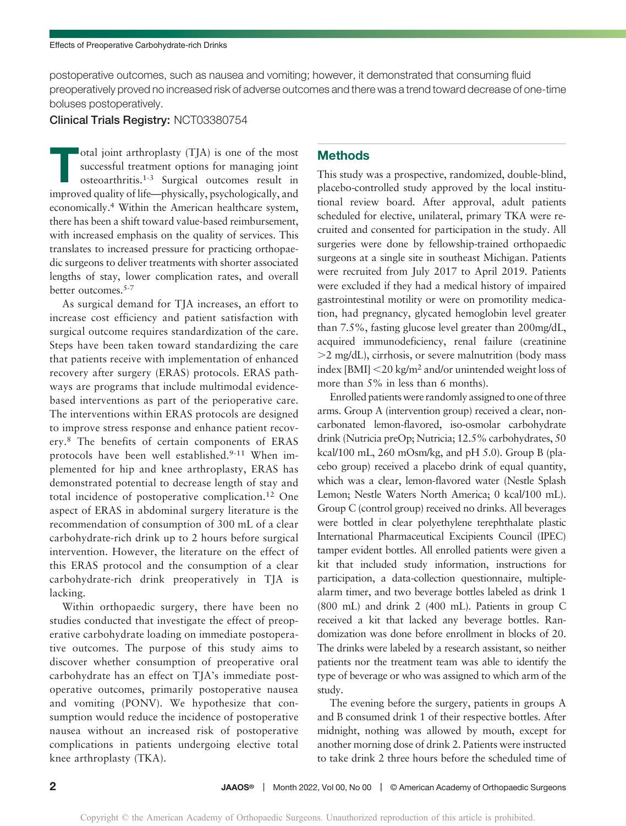postoperative outcomes, such as nausea and vomiting; however, it demonstrated that consuming fluid preoperatively proved no increased risk of adverse outcomes and there was a trend toward decrease of one-time boluses postoperatively.

#### Clinical Trials Registry: NCT03380754

otal joint arthroplasty (TJA) is one of the most<br>successful treatment options for managing joint<br>osteoarthritis.<sup>1-3</sup> Surgical outcomes result in<br>improved position fift, administly probably included successful treatment options for managing joint improved quality of life—physically, psychologically, and economically.4 Within the American healthcare system, there has been a shift toward value-based reimbursement, with increased emphasis on the quality of services. This translates to increased pressure for practicing orthopaedic surgeons to deliver treatments with shorter associated lengths of stay, lower complication rates, and overall better outcomes.5-7

As surgical demand for TJA increases, an effort to increase cost efficiency and patient satisfaction with surgical outcome requires standardization of the care. Steps have been taken toward standardizing the care that patients receive with implementation of enhanced recovery after surgery (ERAS) protocols. ERAS pathways are programs that include multimodal evidencebased interventions as part of the perioperative care. The interventions within ERAS protocols are designed to improve stress response and enhance patient recovery.<sup>8</sup> The benefits of certain components of ERAS protocols have been well established.<sup>9-11</sup> When implemented for hip and knee arthroplasty, ERAS has demonstrated potential to decrease length of stay and total incidence of postoperative complication.<sup>12</sup> One aspect of ERAS in abdominal surgery literature is the recommendation of consumption of 300 mL of a clear carbohydrate-rich drink up to 2 hours before surgical intervention. However, the literature on the effect of this ERAS protocol and the consumption of a clear carbohydrate-rich drink preoperatively in TJA is lacking.

Within orthopaedic surgery, there have been no studies conducted that investigate the effect of preoperative carbohydrate loading on immediate postoperative outcomes. The purpose of this study aims to discover whether consumption of preoperative oral carbohydrate has an effect on TJA's immediate postoperative outcomes, primarily postoperative nausea and vomiting (PONV). We hypothesize that consumption would reduce the incidence of postoperative nausea without an increased risk of postoperative complications in patients undergoing elective total knee arthroplasty (TKA).

#### **Methods**

This study was a prospective, randomized, double-blind, placebo-controlled study approved by the local institutional review board. After approval, adult patients scheduled for elective, unilateral, primary TKA were recruited and consented for participation in the study. All surgeries were done by fellowship-trained orthopaedic surgeons at a single site in southeast Michigan. Patients were recruited from July 2017 to April 2019. Patients were excluded if they had a medical history of impaired gastrointestinal motility or were on promotility medication, had pregnancy, glycated hemoglobin level greater than 7.5%, fasting glucose level greater than 200mg/dL, acquired immunodeficiency, renal failure (creatinine  $>$ 2 mg/dL), cirrhosis, or severe malnutrition (body mass index [BMI]  $<$  20 kg/m<sup>2</sup> and/or unintended weight loss of more than 5% in less than 6 months).

Enrolled patients were randomly assigned to one of three arms. Group A (intervention group) received a clear, noncarbonated lemon-flavored, iso-osmolar carbohydrate drink (Nutricia preOp; Nutricia; 12.5% carbohydrates, 50 kcal/100 mL, 260 mOsm/kg, and pH 5.0). Group B (placebo group) received a placebo drink of equal quantity, which was a clear, lemon-flavored water (Nestle Splash Lemon; Nestle Waters North America; 0 kcal/100 mL). Group C (control group) received no drinks. All beverages were bottled in clear polyethylene terephthalate plastic International Pharmaceutical Excipients Council (IPEC) tamper evident bottles. All enrolled patients were given a kit that included study information, instructions for participation, a data-collection questionnaire, multiplealarm timer, and two beverage bottles labeled as drink 1 (800 mL) and drink 2 (400 mL). Patients in group C received a kit that lacked any beverage bottles. Randomization was done before enrollment in blocks of 20. The drinks were labeled by a research assistant, so neither patients nor the treatment team was able to identify the type of beverage or who was assigned to which arm of the study.

The evening before the surgery, patients in groups A and B consumed drink 1 of their respective bottles. After midnight, nothing was allowed by mouth, except for another morning dose of drink 2. Patients were instructed to take drink 2 three hours before the scheduled time of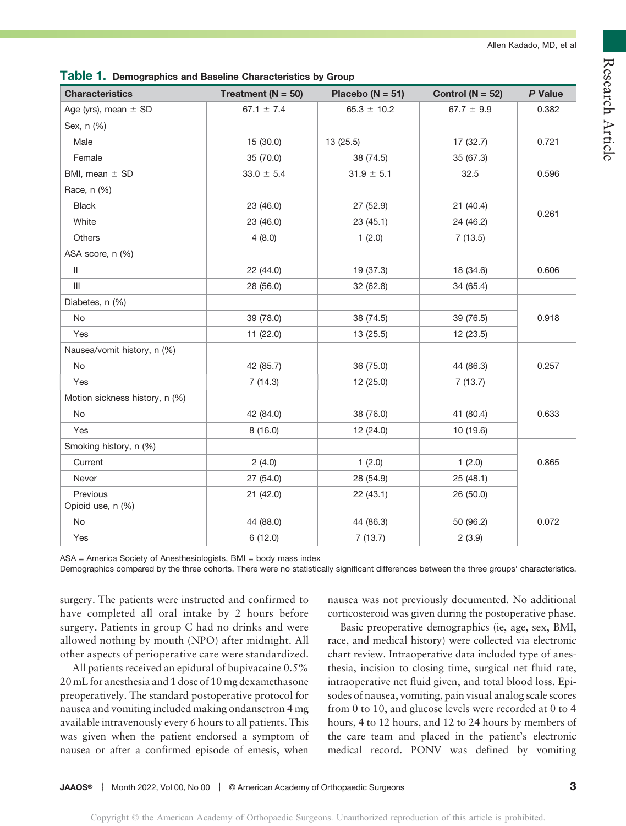| <b>Characteristics</b>         | Treatment ( $N = 50$ ) | Placebo ( $N = 51$ ) | Control ( $N = 52$ ) | P Value |  |
|--------------------------------|------------------------|----------------------|----------------------|---------|--|
| Age (yrs), mean $\pm$ SD       | 67.1 $\pm$ 7.4         | $65.3 \pm 10.2$      | $67.7 \pm 9.9$       | 0.382   |  |
| Sex, n (%)                     |                        |                      |                      |         |  |
| Male                           | 15 (30.0)              | 13 (25.5)            | 17 (32.7)            | 0.721   |  |
| Female                         | 35 (70.0)              | 38 (74.5)            | 35 (67.3)            |         |  |
| BMI, mean $\pm$ SD             | $33.0 \pm 5.4$         | $31.9 \pm 5.1$       | 32.5                 | 0.596   |  |
| Race, n (%)                    |                        |                      |                      |         |  |
| <b>Black</b>                   | 23 (46.0)              | 27 (52.9)            | 21 (40.4)            |         |  |
| White                          | 23 (46.0)              | 23 (45.1)            | 24 (46.2)            | 0.261   |  |
| Others                         | 4(8.0)                 | 1(2.0)               | 7(13.5)              |         |  |
| ASA score, n (%)               |                        |                      |                      |         |  |
| $\mathbf{II}$                  | 22 (44.0)              | 19 (37.3)            | 18 (34.6)            | 0.606   |  |
| $\mathbf{III}$                 | 28 (56.0)              | 32 (62.8)            | 34 (65.4)            |         |  |
| Diabetes, n (%)                |                        |                      |                      |         |  |
| <b>No</b>                      | 39 (78.0)              | 38 (74.5)            | 39 (76.5)            | 0.918   |  |
| Yes                            | 11 (22.0)              | 13 (25.5)            | 12 (23.5)            |         |  |
| Nausea/vomit history, n (%)    |                        |                      |                      |         |  |
| <b>No</b>                      | 42 (85.7)              | 36 (75.0)            | 44 (86.3)            | 0.257   |  |
| Yes                            | 7(14.3)                | 12 (25.0)            | 7(13.7)              |         |  |
| Motion sickness history, n (%) |                        |                      |                      |         |  |
| No                             | 42 (84.0)              | 38 (76.0)            | 41 (80.4)            | 0.633   |  |
| Yes                            | 8(16.0)                | 12 (24.0)            | 10 (19.6)            |         |  |
| Smoking history, n (%)         |                        |                      |                      |         |  |
| Current                        | 2(4.0)                 | 1(2.0)               | 1(2.0)               | 0.865   |  |
| Never                          | 27 (54.0)              | 28 (54.9)            | 25 (48.1)            |         |  |
| Previous                       | 21(42.0)               | 22(43.1)             | 26 (50.0)            |         |  |
| Opioid use, n (%)              |                        |                      |                      |         |  |
| No                             | 44 (88.0)              | 44 (86.3)            | 50 (96.2)            | 0.072   |  |
| Yes                            | 6(12.0)                | 7(13.7)              | 2(3.9)               |         |  |

Table 1. Demographics and Baseline Characteristics by Group

ASA = America Society of Anesthesiologists, BMI = body mass index

Demographics compared by the three cohorts. There were no statistically significant differences between the three groups' characteristics.

surgery. The patients were instructed and confirmed to have completed all oral intake by 2 hours before surgery. Patients in group C had no drinks and were allowed nothing by mouth (NPO) after midnight. All other aspects of perioperative care were standardized.

All patients received an epidural of bupivacaine 0.5% 20 mL for anesthesia and 1 dose of 10 mg dexamethasone preoperatively. The standard postoperative protocol for nausea and vomiting included making ondansetron 4 mg available intravenously every 6 hours to all patients. This was given when the patient endorsed a symptom of nausea or after a confirmed episode of emesis, when

nausea was not previously documented. No additional corticosteroid was given during the postoperative phase.

Basic preoperative demographics (ie, age, sex, BMI, race, and medical history) were collected via electronic chart review. Intraoperative data included type of anesthesia, incision to closing time, surgical net fluid rate, intraoperative net fluid given, and total blood loss. Episodes of nausea, vomiting, pain visual analog scale scores from 0 to 10, and glucose levels were recorded at 0 to 4 hours, 4 to 12 hours, and 12 to 24 hours by members of the care team and placed in the patient's electronic medical record. PONV was defined by vomiting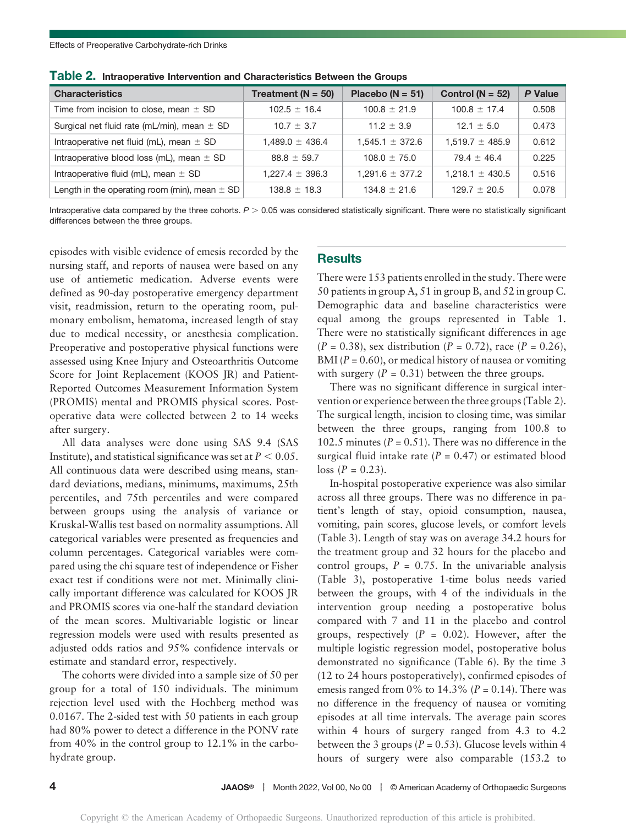| <b>Characteristics</b>                            | Treatment ( $N = 50$ ) | Placebo ( $N = 51$ ) | Control $(N = 52)$  | <b>P</b> Value |
|---------------------------------------------------|------------------------|----------------------|---------------------|----------------|
| Time from incision to close, mean $\pm$ SD        | $102.5 \pm 16.4$       | $100.8 \pm 21.9$     | $100.8 \pm 17.4$    | 0.508          |
| Surgical net fluid rate (mL/min), mean $\pm$ SD   | $10.7 \pm 3.7$         | $11.2 + 3.9$         | $12.1 + 5.0$        | 0.473          |
| Intraoperative net fluid (mL), mean $\pm$ SD      | $1.489.0 \pm 436.4$    | $1.545.1 \pm 372.6$  | $1.519.7 \pm 485.9$ | 0.612          |
| Intraoperative blood loss (mL), mean ± SD         | $88.8 \pm 59.7$        | $108.0 \pm 75.0$     | $79.4 \pm 46.4$     | 0.225          |
| Intraoperative fluid (mL), mean $\pm$ SD          | $1.227.4 \pm 396.3$    | $1.291.6 \pm 377.2$  | $1.218.1 \pm 430.5$ | 0.516          |
| Length in the operating room (min), mean $\pm$ SD | $138.8 \pm 18.3$       | $134.8 \pm 21.6$     | $129.7 \pm 20.5$    | 0.078          |

Table 2. Intraoperative Intervention and Characteristics Between the Groups

Intraoperative data compared by the three cohorts.  $P > 0.05$  was considered statistically significant. There were no statistically significant differences between the three groups.

episodes with visible evidence of emesis recorded by the nursing staff, and reports of nausea were based on any use of antiemetic medication. Adverse events were defined as 90-day postoperative emergency department visit, readmission, return to the operating room, pulmonary embolism, hematoma, increased length of stay due to medical necessity, or anesthesia complication. Preoperative and postoperative physical functions were assessed using Knee Injury and Osteoarthritis Outcome Score for Joint Replacement (KOOS JR) and Patient-Reported Outcomes Measurement Information System (PROMIS) mental and PROMIS physical scores. Postoperative data were collected between 2 to 14 weeks after surgery.

All data analyses were done using SAS 9.4 (SAS Institute), and statistical significance was set at  $P < 0.05$ . All continuous data were described using means, standard deviations, medians, minimums, maximums, 25th percentiles, and 75th percentiles and were compared between groups using the analysis of variance or Kruskal-Wallis test based on normality assumptions. All categorical variables were presented as frequencies and column percentages. Categorical variables were compared using the chi square test of independence or Fisher exact test if conditions were not met. Minimally clinically important difference was calculated for KOOS JR and PROMIS scores via one-half the standard deviation of the mean scores. Multivariable logistic or linear regression models were used with results presented as adjusted odds ratios and 95% confidence intervals or estimate and standard error, respectively.

The cohorts were divided into a sample size of 50 per group for a total of 150 individuals. The minimum rejection level used with the Hochberg method was 0.0167. The 2-sided test with 50 patients in each group had 80% power to detect a difference in the PONV rate from 40% in the control group to 12.1% in the carbohydrate group.

#### **Results**

There were 153 patients enrolled in the study. There were 50 patients in group A, 51 in group B, and 52 in group C. Demographic data and baseline characteristics were equal among the groups represented in Table 1. There were no statistically significant differences in age  $(P = 0.38)$ , sex distribution  $(P = 0.72)$ , race  $(P = 0.26)$ , BMI ( $P = 0.60$ ), or medical history of nausea or vomiting with surgery  $(P = 0.31)$  between the three groups.

There was no significant difference in surgical intervention or experience between the three groups (Table 2). The surgical length, incision to closing time, was similar between the three groups, ranging from 100.8 to 102.5 minutes ( $P = 0.51$ ). There was no difference in the surgical fluid intake rate  $(P = 0.47)$  or estimated blood  $\log (P = 0.23)$ .

In-hospital postoperative experience was also similar across all three groups. There was no difference in patient's length of stay, opioid consumption, nausea, vomiting, pain scores, glucose levels, or comfort levels (Table 3). Length of stay was on average 34.2 hours for the treatment group and 32 hours for the placebo and control groups,  $P = 0.75$ . In the univariable analysis (Table 3), postoperative 1-time bolus needs varied between the groups, with 4 of the individuals in the intervention group needing a postoperative bolus compared with 7 and 11 in the placebo and control groups, respectively  $(P = 0.02)$ . However, after the multiple logistic regression model, postoperative bolus demonstrated no significance (Table 6). By the time 3 (12 to 24 hours postoperatively), confirmed episodes of emesis ranged from 0% to 14.3% ( $P = 0.14$ ). There was no difference in the frequency of nausea or vomiting episodes at all time intervals. The average pain scores within 4 hours of surgery ranged from 4.3 to 4.2 between the 3 groups ( $P = 0.53$ ). Glucose levels within 4 hours of surgery were also comparable (153.2 to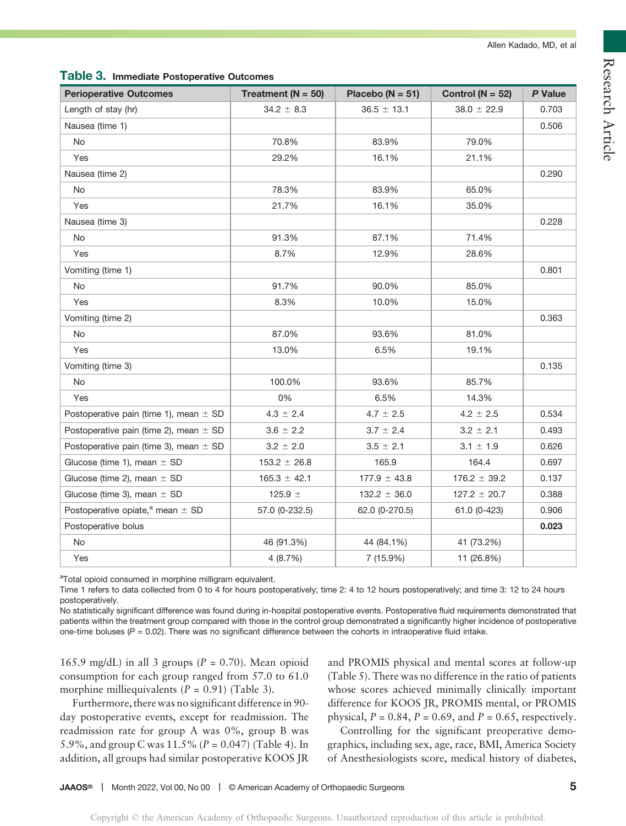| <b>Perioperative Outcomes</b>                    | Treatment ( $N = 50$ ) | Placebo ( $N = 51$ ) | Control ( $N = 52$ ) | P Value |
|--------------------------------------------------|------------------------|----------------------|----------------------|---------|
| Length of stay (hr)                              | $34.2 \pm 8.3$         | $36.5 \pm 13.1$      | $38.0 \pm 22.9$      | 0.703   |
| Nausea (time 1)                                  |                        |                      |                      | 0.506   |
| No                                               | 70.8%                  | 83.9%                | 79.0%                |         |
| Yes                                              | 29.2%                  | 16.1%                | 21.1%                |         |
| Nausea (time 2)                                  |                        |                      |                      | 0.290   |
| <b>No</b>                                        | 78.3%                  | 83.9%                | 65.0%                |         |
| Yes                                              | 21.7%                  | 16.1%                | 35.0%                |         |
| Nausea (time 3)                                  |                        |                      |                      | 0.228   |
| No                                               | 91.3%                  | 87.1%                | 71.4%                |         |
| Yes                                              | 8.7%                   | 12.9%                | 28.6%                |         |
| Vomiting (time 1)                                |                        |                      |                      | 0.801   |
| No                                               | 91.7%                  | 90.0%                | 85.0%                |         |
| Yes                                              | 8.3%                   | 10.0%                | 15.0%                |         |
| Vomiting (time 2)                                |                        |                      |                      | 0.363   |
| No                                               | 87.0%                  | 93.6%                | 81.0%                |         |
| Yes                                              | 13.0%                  | 6.5%                 | 19.1%                |         |
| Vomiting (time 3)                                |                        |                      |                      | 0.135   |
| No                                               | 100.0%                 | 93.6%                | 85.7%                |         |
| Yes                                              | 0%                     | 6.5%                 | 14.3%                |         |
| Postoperative pain (time 1), mean $\pm$ SD       | $4.3 \pm 2.4$          | $4.7 \pm 2.5$        | $4.2 \pm 2.5$        | 0.534   |
| Postoperative pain (time 2), mean $\pm$ SD       | $3.6 \pm 2.2$          | $3.7 \pm 2.4$        | $3.2 \pm 2.1$        | 0.493   |
| Postoperative pain (time 3), mean $\pm$ SD       | $3.2 \pm 2.0$          | $3.5 \pm 2.1$        | $3.1 \pm 1.9$        | 0.626   |
| Glucose (time 1), mean $\pm$ SD                  | $153.2 \pm 26.8$       | 165.9                | 164.4                | 0.697   |
| Glucose (time 2), mean $\pm$ SD                  | $165.3 \pm 42.1$       | $177.9 \pm 43.8$     | $176.2 \pm 39.2$     | 0.137   |
| Glucose (time 3), mean $\pm$ SD                  | 125.9 $\pm$            | $132.2 \pm 36.0$     | $127.2 \pm 20.7$     | 0.388   |
| Postoperative opiate, <sup>a</sup> mean $\pm$ SD | 57.0 (0-232.5)         | 62.0 (0-270.5)       | 61.0 (0-423)         | 0.906   |
| Postoperative bolus                              |                        |                      |                      | 0.023   |
| No                                               | 46 (91.3%)             | 44 (84.1%)           | 41 (73.2%)           |         |
| Yes                                              | 4 (8.7%)               | 7 (15.9%)            | 11 (26.8%)           |         |

#### Table 3. Immediate Postoperative Outcomes

<sup>a</sup>Total opioid consumed in morphine milligram equivalent.

Time 1 refers to data collected from 0 to 4 for hours postoperatively; time 2: 4 to 12 hours postoperatively; and time 3: 12 to 24 hours postoperatively.

No statistically significant difference was found during in-hospital postoperative events. Postoperative fluid requirements demonstrated that patients within the treatment group compared with those in the control group demonstrated a significantly higher incidence of postoperative one-time boluses  $(P = 0.02)$ . There was no significant difference between the cohorts in intraoperative fluid intake.

165.9 mg/dL) in all 3 groups ( $P = 0.70$ ). Mean opioid consumption for each group ranged from 57.0 to 61.0 morphine milliequivalents  $(P = 0.91)$  (Table 3).

Furthermore, there was no significant difference in 90 day postoperative events, except for readmission. The readmission rate for group A was 0%, group B was 5.9%, and group C was  $11.5\%$  (P = 0.047) (Table 4). In addition, all groups had similar postoperative KOOS JR and PROMIS physical and mental scores at follow-up (Table 5). There was no difference in the ratio of patients whose scores achieved minimally clinically important difference for KOOS JR, PROMIS mental, or PROMIS physical,  $P = 0.84$ ,  $P = 0.69$ , and  $P = 0.65$ , respectively.

Controlling for the significant preoperative demographics, including sex, age, race, BMI, America Society of Anesthesiologists score, medical history of diabetes,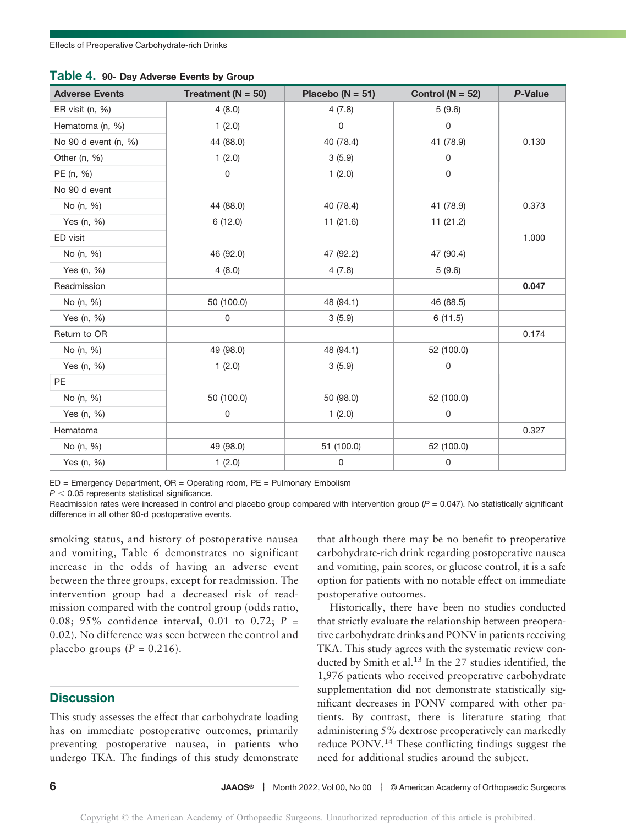| <b>Adverse Events</b> | Treatment ( $N = 50$ ) | Placebo ( $N = 51$ ) | Control ( $N = 52$ ) | <b>P-Value</b> |
|-----------------------|------------------------|----------------------|----------------------|----------------|
| ER visit (n, %)       | 4(8.0)                 | 4(7.8)               | 5(9.6)               |                |
| Hematoma (n, %)       | 1(2.0)                 | $\mathbf 0$          | 0                    |                |
| No 90 d event (n, %)  | 44 (88.0)              | 40 (78.4)            | 41 (78.9)            | 0.130          |
| Other (n, %)          | 1(2.0)                 | 3(5.9)               | 0                    |                |
| PE (n, %)             | $\mathsf 0$            | 1(2.0)               | $\mathsf{O}\xspace$  |                |
| No 90 d event         |                        |                      |                      |                |
| No (n, %)             | 44 (88.0)              | 40 (78.4)            | 41 (78.9)            | 0.373          |
| Yes (n, %)            | 6(12.0)                | 11 (21.6)            | 11 (21.2)            |                |
| ED visit              |                        |                      |                      | 1.000          |
| No (n, %)             | 46 (92.0)              | 47 (92.2)            | 47 (90.4)            |                |
| Yes (n, %)            | 4(8.0)                 | 4(7.8)               | 5(9.6)               |                |
| Readmission           |                        |                      |                      | 0.047          |
| No (n, %)             | 50 (100.0)             | 48 (94.1)            | 46 (88.5)            |                |
| Yes (n, %)            | $\mathsf 0$            | 3(5.9)               | 6(11.5)              |                |
| Return to OR          |                        |                      |                      | 0.174          |
| No (n, %)             | 49 (98.0)              | 48 (94.1)            | 52 (100.0)           |                |
| Yes (n, %)            | 1(2.0)                 | 3(5.9)               | 0                    |                |
| <b>PE</b>             |                        |                      |                      |                |
| No (n, %)             | 50 (100.0)             | 50 (98.0)            | 52 (100.0)           |                |
| Yes (n, %)            | $\mathbf 0$            | 1(2.0)               | 0                    |                |
| Hematoma              |                        |                      |                      | 0.327          |
| No (n, %)             | 49 (98.0)              | 51 (100.0)           | 52 (100.0)           |                |
| Yes (n, %)            | 1(2.0)                 | 0                    | 0                    |                |

Table 4. 90- Day Adverse Events by Group

ED = Emergency Department, OR = Operating room, PE = Pulmonary Embolism

 $P < 0.05$  represents statistical significance.

Readmission rates were increased in control and placebo group compared with intervention group  $(P = 0.047)$ . No statistically significant difference in all other 90-d postoperative events.

smoking status, and history of postoperative nausea and vomiting, Table 6 demonstrates no significant increase in the odds of having an adverse event between the three groups, except for readmission. The intervention group had a decreased risk of readmission compared with the control group (odds ratio, 0.08; 95% confidence interval, 0.01 to 0.72;  $P =$ 0.02). No difference was seen between the control and placebo groups  $(P = 0.216)$ .

#### **Discussion**

This study assesses the effect that carbohydrate loading has on immediate postoperative outcomes, primarily preventing postoperative nausea, in patients who undergo TKA. The findings of this study demonstrate

that although there may be no benefit to preoperative carbohydrate-rich drink regarding postoperative nausea and vomiting, pain scores, or glucose control, it is a safe option for patients with no notable effect on immediate postoperative outcomes.

Historically, there have been no studies conducted that strictly evaluate the relationship between preoperative carbohydrate drinks and PONV in patients receiving TKA. This study agrees with the systematic review conducted by Smith et al.<sup>13</sup> In the 27 studies identified, the 1,976 patients who received preoperative carbohydrate supplementation did not demonstrate statistically significant decreases in PONV compared with other patients. By contrast, there is literature stating that administering 5% dextrose preoperatively can markedly reduce PONV.<sup>14</sup> These conflicting findings suggest the need for additional studies around the subject.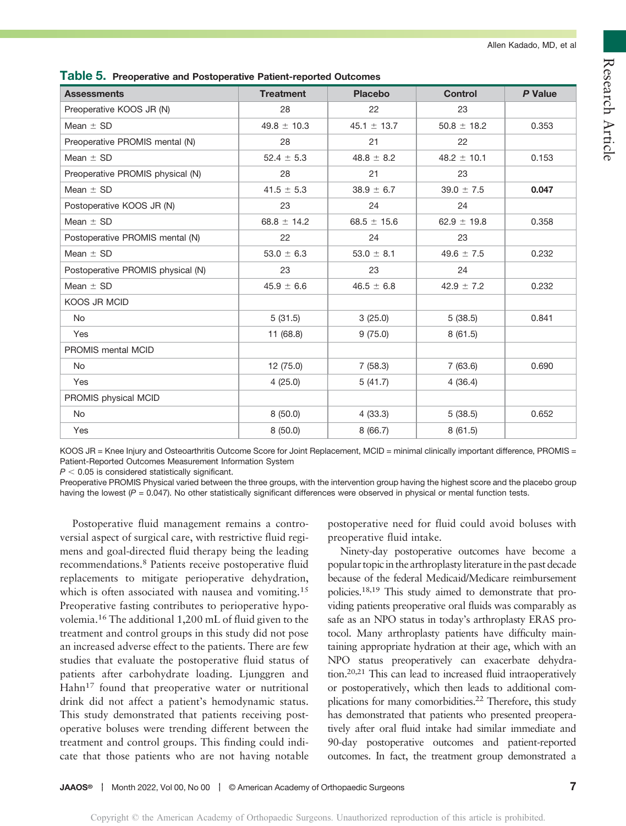| <b>Assessments</b>                | <b>Treatment</b> | <b>Placebo</b>  | <b>Control</b>  | P Value |
|-----------------------------------|------------------|-----------------|-----------------|---------|
| Preoperative KOOS JR (N)          | 28               | 22              | 23              |         |
| Mean $\pm$ SD                     | $49.8 \pm 10.3$  | 45.1 $\pm$ 13.7 | $50.8 \pm 18.2$ | 0.353   |
| Preoperative PROMIS mental (N)    | 28               | 21              | 22              |         |
| Mean $\pm$ SD                     | $52.4 \pm 5.3$   | $48.8 \pm 8.2$  | $48.2 \pm 10.1$ | 0.153   |
| Preoperative PROMIS physical (N)  | 28               | 21              | 23              |         |
| Mean $\pm$ SD                     | $41.5 \pm 5.3$   | $38.9 \pm 6.7$  | $39.0 \pm 7.5$  | 0.047   |
| Postoperative KOOS JR (N)         | 23               | 24              | 24              |         |
| Mean $\pm$ SD                     | 68.8 $\pm$ 14.2  | 68.5 $\pm$ 15.6 | $62.9 \pm 19.8$ | 0.358   |
| Postoperative PROMIS mental (N)   | 22               | 24              | 23              |         |
| Mean $\pm$ SD                     | $53.0 \pm 6.3$   | $53.0 \pm 8.1$  | $49.6 \pm 7.5$  | 0.232   |
| Postoperative PROMIS physical (N) | 23               | 23              | 24              |         |
| Mean $\pm$ SD                     | $45.9 \pm 6.6$   | $46.5 \pm 6.8$  | $42.9 \pm 7.2$  | 0.232   |
| <b>KOOS JR MCID</b>               |                  |                 |                 |         |
| <b>No</b>                         | 5(31.5)          | 3(25.0)         | 5(38.5)         | 0.841   |
| Yes                               | 11 (68.8)        | 9(75.0)         | 8(61.5)         |         |
| PROMIS mental MCID                |                  |                 |                 |         |
| No                                | 12 (75.0)        | 7(58.3)         | 7(63.6)         | 0.690   |
| Yes                               | 4(25.0)          | 5(41.7)         | 4(36.4)         |         |
| PROMIS physical MCID              |                  |                 |                 |         |
| No                                | 8(50.0)          | 4(33.3)         | 5(38.5)         | 0.652   |
| Yes                               | 8(50.0)          | 8(66.7)         | 8(61.5)         |         |

Table 5. Preoperative and Postoperative Patient-reported Outcomes

KOOS JR = Knee Injury and Osteoarthritis Outcome Score for Joint Replacement, MCID = minimal clinically important difference, PROMIS = Patient-Reported Outcomes Measurement Information System

 $P < 0.05$  is considered statistically significant.

Preoperative PROMIS Physical varied between the three groups, with the intervention group having the highest score and the placebo group having the lowest  $(P = 0.047)$ . No other statistically significant differences were observed in physical or mental function tests.

Postoperative fluid management remains a controversial aspect of surgical care, with restrictive fluid regimens and goal-directed fluid therapy being the leading recommendations.<sup>8</sup> Patients receive postoperative fluid replacements to mitigate perioperative dehydration, which is often associated with nausea and vomiting.<sup>15</sup> Preoperative fasting contributes to perioperative hypovolemia.<sup>16</sup> The additional 1,200 mL of fluid given to the treatment and control groups in this study did not pose an increased adverse effect to the patients. There are few studies that evaluate the postoperative fluid status of patients after carbohydrate loading. Ljunggren and Hahn<sup>17</sup> found that preoperative water or nutritional drink did not affect a patient's hemodynamic status. This study demonstrated that patients receiving postoperative boluses were trending different between the treatment and control groups. This finding could indicate that those patients who are not having notable

postoperative need for fluid could avoid boluses with preoperative fluid intake.

Ninety-day postoperative outcomes have become a popular topic in the arthroplasty literature in the past decade because of the federal Medicaid/Medicare reimbursement policies.18,19 This study aimed to demonstrate that providing patients preoperative oral fluids was comparably as safe as an NPO status in today's arthroplasty ERAS protocol. Many arthroplasty patients have difficulty maintaining appropriate hydration at their age, which with an NPO status preoperatively can exacerbate dehydration.20,21 This can lead to increased fluid intraoperatively or postoperatively, which then leads to additional complications for many comorbidities.22 Therefore, this study has demonstrated that patients who presented preoperatively after oral fluid intake had similar immediate and 90-day postoperative outcomes and patient-reported outcomes. In fact, the treatment group demonstrated a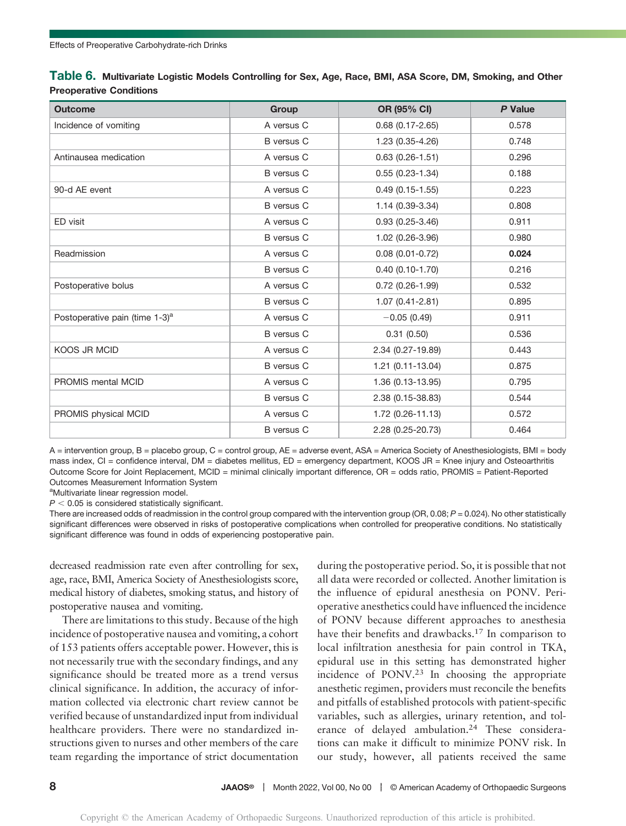| Table 6. Multivariate Logistic Models Controlling for Sex, Age, Race, BMI, ASA Score, DM, Smoking, and Other |  |  |  |
|--------------------------------------------------------------------------------------------------------------|--|--|--|
| <b>Preoperative Conditions</b>                                                                               |  |  |  |

| <b>Outcome</b>                             | Group             | OR (95% CI)            | <b>P</b> Value |
|--------------------------------------------|-------------------|------------------------|----------------|
| Incidence of vomiting                      | A versus C        | $0.68$ $(0.17 - 2.65)$ | 0.578          |
|                                            | <b>B</b> versus C | 1.23 (0.35-4.26)       | 0.748          |
| Antinausea medication                      | A versus C        | $0.63$ $(0.26 - 1.51)$ | 0.296          |
|                                            | <b>B</b> versus C | $0.55(0.23 - 1.34)$    | 0.188          |
| 90-d AE event                              | A versus C        | $0.49(0.15-1.55)$      | 0.223          |
|                                            | <b>B</b> versus C | 1.14 (0.39-3.34)       | 0.808          |
| ED visit                                   | A versus C        | $0.93(0.25-3.46)$      | 0.911          |
|                                            | <b>B</b> versus C | 1.02 (0.26-3.96)       | 0.980          |
| Readmission                                | A versus C        | $0.08$ (0.01-0.72)     | 0.024          |
|                                            | <b>B</b> versus C | $0.40(0.10-1.70)$      | 0.216          |
| Postoperative bolus                        | A versus C        | $0.72$ (0.26-1.99)     | 0.532          |
|                                            | <b>B</b> versus C | $1.07(0.41 - 2.81)$    | 0.895          |
| Postoperative pain (time 1-3) <sup>a</sup> | A versus C        | $-0.05(0.49)$          | 0.911          |
|                                            | <b>B</b> versus C | 0.31(0.50)             | 0.536          |
| <b>KOOS JR MCID</b>                        | A versus C        | 2.34 (0.27-19.89)      | 0.443          |
|                                            | <b>B</b> versus C | 1.21 (0.11-13.04)      | 0.875          |
| PROMIS mental MCID                         | A versus C        | 1.36 (0.13-13.95)      | 0.795          |
|                                            | <b>B</b> versus C | 2.38 (0.15-38.83)      | 0.544          |
| PROMIS physical MCID                       | A versus C        | 1.72 (0.26-11.13)      | 0.572          |
|                                            | <b>B</b> versus C | 2.28 (0.25-20.73)      | 0.464          |

A = intervention group, B = placebo group, C = control group, AE = adverse event, ASA = America Society of Anesthesiologists, BMI = body mass index, CI = confidence interval, DM = diabetes mellitus, ED = emergency department, KOOS JR = Knee injury and Osteoarthritis Outcome Score for Joint Replacement, MCID = minimal clinically important difference, OR = odds ratio, PROMIS = Patient-Reported Outcomes Measurement Information System

<sup>a</sup>Multivariate linear regression model.

 $P < 0.05$  is considered statistically significant.

There are increased odds of readmission in the control group compared with the intervention group (OR, 0.08; P = 0.024). No other statistically significant differences were observed in risks of postoperative complications when controlled for preoperative conditions. No statistically significant difference was found in odds of experiencing postoperative pain.

decreased readmission rate even after controlling for sex, age, race, BMI, America Society of Anesthesiologists score, medical history of diabetes, smoking status, and history of postoperative nausea and vomiting.

There are limitations to this study. Because of the high incidence of postoperative nausea and vomiting, a cohort of 153 patients offers acceptable power. However, this is not necessarily true with the secondary findings, and any significance should be treated more as a trend versus clinical significance. In addition, the accuracy of information collected via electronic chart review cannot be verified because of unstandardized input from individual healthcare providers. There were no standardized instructions given to nurses and other members of the care team regarding the importance of strict documentation

during the postoperative period. So, it is possible that not all data were recorded or collected. Another limitation is the influence of epidural anesthesia on PONV. Perioperative anesthetics could have influenced the incidence of PONV because different approaches to anesthesia have their benefits and drawbacks.<sup>17</sup> In comparison to local infiltration anesthesia for pain control in TKA, epidural use in this setting has demonstrated higher incidence of  $PONV<sup>23</sup>$  In choosing the appropriate anesthetic regimen, providers must reconcile the benefits and pitfalls of established protocols with patient-specific variables, such as allergies, urinary retention, and tolerance of delayed ambulation.<sup>24</sup> These considerations can make it difficult to minimize PONV risk. In our study, however, all patients received the same